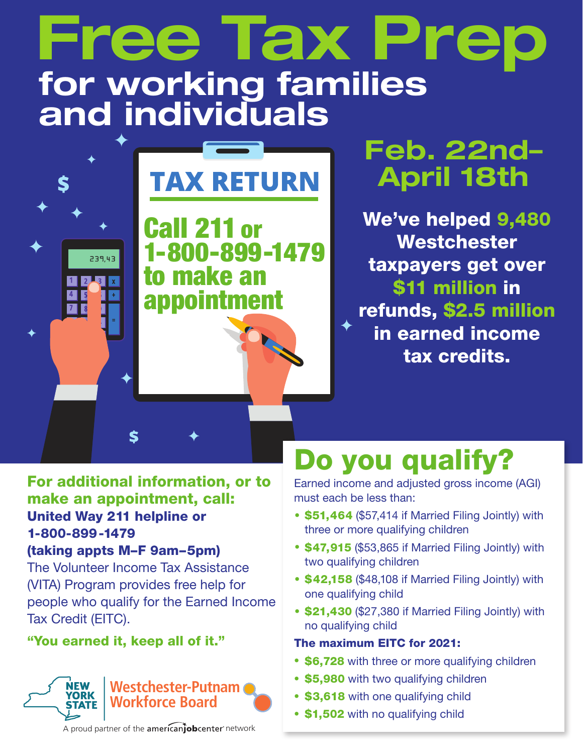# **Free Tax Prep for working families and individuals**

# **TAX RETURN**

Call 211 or 1-800-899-1479 to make an appointment

## **Feb. 22nd– April 18th**

We've helped 9,480 Westchester taxpayers get over \$11 million in refunds, \$2.5 million in earned income tax credits.

### For additional information, or to make an appointment, call: United Way 211 helpline or 1-800-899-1479

S

#### (taking appts M–F 9am–5pm)

S

239.43

The Volunteer Income Tax Assistance (VITA) Program provides free help for people who qualify for the Earned Income Tax Credit (EITC).

#### "You earned it, keep all of it."



Do you qualify?

Earned income and adjusted gross income (AGI) must each be less than:

- \$51,464 (\$57,414 if Married Filing Jointly) with three or more qualifying children
- \$47,915 (\$53,865 if Married Filing Jointly) with two qualifying children
- \$42,158 (\$48,108 if Married Filing Jointly) with one qualifying child
- \$21,430 (\$27,380 if Married Filing Jointly) with no qualifying child

#### The maximum EITC for 2021:

- \$6,728 with three or more qualifying children
- \$5,980 with two qualifying children
- \$3,618 with one qualifying child
- \$1,502 with no qualifying child

A proud partner of the americanjobcenter network